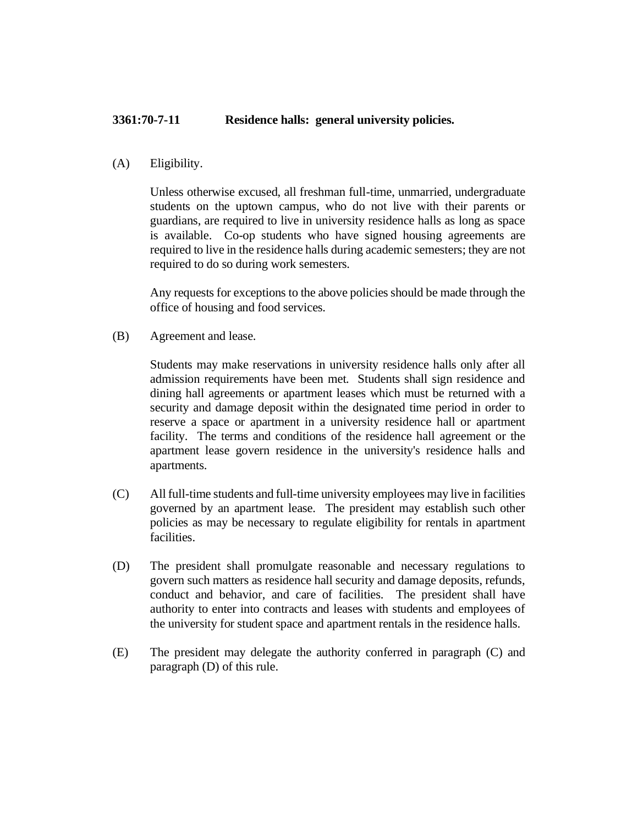## **3361:70-7-11 Residence halls: general university policies.**

## (A) Eligibility.

Unless otherwise excused, all freshman full-time, unmarried, undergraduate students on the uptown campus, who do not live with their parents or guardians, are required to live in university residence halls as long as space is available. Co-op students who have signed housing agreements are required to live in the residence halls during academic semesters; they are not required to do so during work semesters.

Any requests for exceptions to the above policies should be made through the office of housing and food services.

(B) Agreement and lease.

Students may make reservations in university residence halls only after all admission requirements have been met. Students shall sign residence and dining hall agreements or apartment leases which must be returned with a security and damage deposit within the designated time period in order to reserve a space or apartment in a university residence hall or apartment facility. The terms and conditions of the residence hall agreement or the apartment lease govern residence in the university's residence halls and apartments.

- (C) All full-time students and full-time university employees may live in facilities governed by an apartment lease. The president may establish such other policies as may be necessary to regulate eligibility for rentals in apartment facilities.
- (D) The president shall promulgate reasonable and necessary regulations to govern such matters as residence hall security and damage deposits, refunds, conduct and behavior, and care of facilities. The president shall have authority to enter into contracts and leases with students and employees of the university for student space and apartment rentals in the residence halls.
- (E) The president may delegate the authority conferred in paragraph (C) and paragraph (D) of this rule.